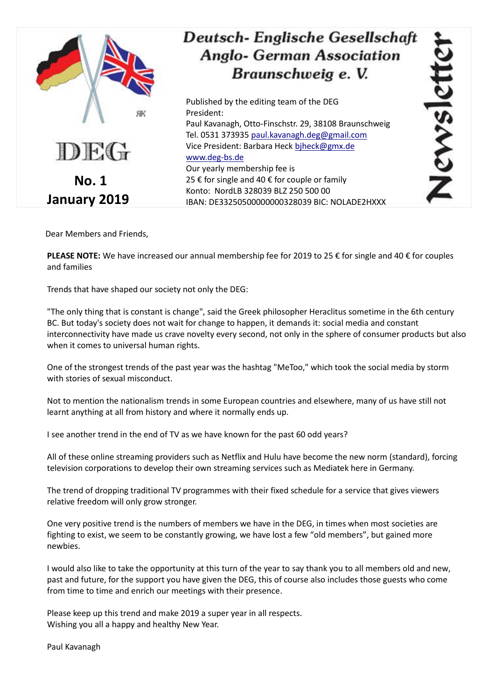

Dear Members and Friends,

**PLEASE NOTE:** We have increased our annual membership fee for 2019 to 25 € for single and 40 € for couples and families

Trends that have shaped our society not only the DEG:

"The only thing that is constant is change", said the Greek philosopher Heraclitus sometime in the 6th century BC. But today's society does not wait for change to happen, it demands it: social media and constant interconnectivity have made us crave novelty every second, not only in the sphere of consumer products but also when it comes to universal human rights.

One of the strongest trends of the past year was the hashtag "MeToo," which took the social media by storm with stories of sexual misconduct.

Not to mention the nationalism trends in some European countries and elsewhere, many of us have still not learnt anything at all from history and where it normally ends up.

I see another trend in the end of TV as we have known for the past 60 odd years?

All of these online streaming providers such as Netflix and Hulu have become the new norm (standard), forcing television corporations to develop their own streaming services such as Mediatek here in Germany.

The trend of dropping traditional TV programmes with their fixed schedule for a service that gives viewers relative freedom will only grow stronger.

One very positive trend is the numbers of members we have in the DEG, in times when most societies are fighting to exist, we seem to be constantly growing, we have lost a few "old members", but gained more newbies.

I would also like to take the opportunity at this turn of the year to say thank you to all members old and new, past and future, for the support you have given the DEG, this of course also includes those guests who come from time to time and enrich our meetings with their presence.

Please keep up this trend and make 2019 a super year in all respects. Wishing you all a happy and healthy New Year.

Paul Kavanagh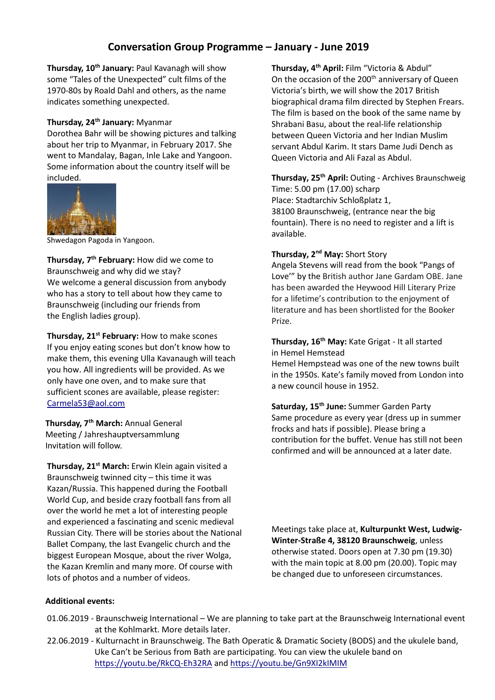# **Conversation Group Programme – January - June 2019**

**Thursday, 10th January:** Paul Kavanagh will show some "Tales of the Unexpected" cult films of the 1970-80s by Roald Dahl and others, as the name indicates something unexpected.

## **Thursday, 24th January:** Myanmar

Dorothea Bahr will be showing pictures and talking about her trip to Myanmar, in February 2017. She went to Mandalay, Bagan, Inle Lake and Yangoon. Some information about the country itself will be included.



Shwedagon Pagoda in Yangoon.

**Thursday, 7 th February:** How did we come to Braunschweig and why did we stay? We welcome a general discussion from anybody who has a story to tell about how they came to Braunschweig (including our friends from the English ladies group).

**Thursday, 21st February:** How to make scones If you enjoy eating scones but don't know how to make them, this evening Ulla Kavanaugh will teach you how. All ingredients will be provided. As we only have one oven, and to make sure that sufficient scones are available, please register: [Carmela53@aol.com](mailto:Carmela53@aol.com)

**Thursday, 7th March:** Annual General Meeting / Jahreshauptversammlung Invitation will follow.

**Thursday, 21st March:** Erwin Klein again visited a Braunschweig twinned city – this time it was Kazan/Russia. This happened during the Football World Cup, and beside crazy football fans from all over the world he met a lot of interesting people and experienced a fascinating and scenic medieval Russian City. There will be stories about the National Ballet Company, the last Evangelic church and the biggest European Mosque, about the river Wolga, the Kazan Kremlin and many more. Of course with lots of photos and a number of videos.

**Thursday, 4 th April:** Film "Victoria & Abdul" On the occasion of the 200<sup>th</sup> anniversary of Queen Victoria's birth, we will show the 2017 British biographical drama film directed by Stephen Frears. The film is based on the book of the same name by Shrabani Basu, about the real-life relationship betwee[n Queen Victoria](https://en.wikipedia.org/wiki/Queen_Victoria) and her Indian Muslim servan[t Abdul Karim.](https://en.wikipedia.org/wiki/Abdul_Karim_(the_Munshi)) It stars Dame [Judi Dench](https://en.wikipedia.org/wiki/Judi_Dench) as Queen Victoria and Ali Fazal as Abdul.

**Thursday, 25th April:** Outing - Archives Braunschweig Time: 5.00 pm (17.00) scharp Place: Stadtarchiv Schloßplatz 1, 38100 Braunschweig, (entrance near the big fountain). There is no need to register and a lift is available.

#### **Thursday, 2<sup>nd</sup> May:** Short Story

a new council house in 1952.

Angela Stevens will read from the book "Pangs of Love'" by the British author Jane Gardam OBE. Jane has been awarded the Heywood Hill Literary Prize for a lifetime's contribution to the enjoyment of literature and has been shortlisted for the Booker Prize.

**Thursday, 16th May:** Kate Grigat - It all started in Hemel Hemstead Hemel Hempstead was one of the new towns built in the 1950s. Kate's family moved from London into

**Saturday, 15th June:** Summer Garden Party Same procedure as every year (dress up in summer frocks and hats if possible). Please bring a contribution for the buffet. Venue has still not been confirmed and will be announced at a later date.

Meetings take place at, **Kulturpunkt West, Ludwig-Winter-Straße 4, 38120 Braunschweig**, unless otherwise stated. Doors open at 7.30 pm (19.30) with the main topic at 8.00 pm (20.00). Topic may be changed due to unforeseen circumstances.

#### **Additional events:**

- 01.06.2019 Braunschweig International We are planning to take part at the Braunschweig International event at the Kohlmarkt. More details later.
- 22.06.2019 Kulturnacht in Braunschweig. The Bath Operatic & Dramatic Society (BODS) and the ukulele band, Uke Can't be Serious from Bath are participating. You can view the ukulele band on <https://youtu.be/RkCQ-Eh32RA> and<https://youtu.be/Gn9XI2kIMIM>